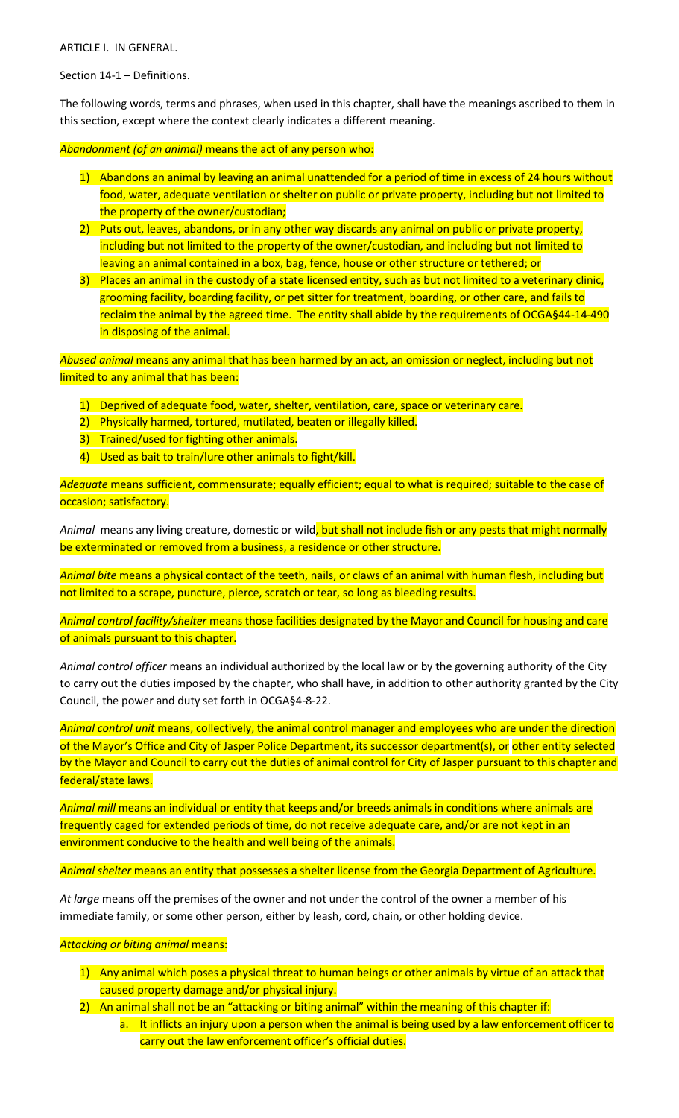ARTICLE I. IN GENERAL.

Section 14-1 – Definitions.

The following words, terms and phrases, when used in this chapter, shall have the meanings ascribed to them in this section, except where the context clearly indicates a different meaning.

*Abandonment (of an animal)* means the act of any person who:

- 1) Abandons an animal by leaving an animal unattended for a period of time in excess of 24 hours without food, water, adequate ventilation or shelter on public or private property, including but not limited to the property of the owner/custodian;
- 2) Puts out, leaves, abandons, or in any other way discards any animal on public or private property, including but not limited to the property of the owner/custodian, and including but not limited to leaving an animal contained in a box, bag, fence, house or other structure or tethered; or
- 3) Places an animal in the custody of a state licensed entity, such as but not limited to a veterinary clinic, grooming facility, boarding facility, or pet sitter for treatment, boarding, or other care, and fails to reclaim the animal by the agreed time. The entity shall abide by the requirements of OCGA§44-14-490 in disposing of the animal.

*Abused animal* means any animal that has been harmed by an act, an omission or neglect, including but not limited to any animal that has been:

- 1) Deprived of adequate food, water, shelter, ventilation, care, space or veterinary care.
- 2) Physically harmed, tortured, mutilated, beaten or illegally killed.
- 3) Trained/used for fighting other animals.
- 4) Used as bait to train/lure other animals to fight/kill.

*Adequate* means sufficient, commensurate; equally efficient; equal to what is required; suitable to the case of occasion; satisfactory.

*Animal* means any living creature, domestic or wild, but shall not include fish or any pests that might normally be exterminated or removed from a business, a residence or other structure.

*Animal bite* means a physical contact of the teeth, nails, or claws of an animal with human flesh, including but not limited to a scrape, puncture, pierce, scratch or tear, so long as bleeding results.

*Animal control facility/shelter* means those facilities designated by the Mayor and Council for housing and care of animals pursuant to this chapter.

*Animal control officer* means an individual authorized by the local law or by the governing authority of the City to carry out the duties imposed by the chapter, who shall have, in addition to other authority granted by the City Council, the power and duty set forth in OCGA§4-8-22.

*Animal control unit* means, collectively, the animal control manager and employees who are under the direction of the Mayor's Office and City of Jasper Police Department, its successor department(s), or other entity selected by the Mayor and Council to carry out the duties of animal control for City of Jasper pursuant to this chapter and federal/state laws.

*Animal mill* means an individual or entity that keeps and/or breeds animals in conditions where animals are frequently caged for extended periods of time, do not receive adequate care, and/or are not kept in an environment conducive to the health and well being of the animals.

*Animal shelter* means an entity that possesses a shelter license from the Georgia Department of Agriculture.

*At large* means off the premises of the owner and not under the control of the owner a member of his immediate family, or some other person, either by leash, cord, chain, or other holding device.

## *Attacking or biting animal* means:

- 1) Any animal which poses a physical threat to human beings or other animals by virtue of an attack that caused property damage and/or physical injury.
- 2) An animal shall not be an "attacking or biting animal" within the meaning of this chapter if:
	- a. It inflicts an injury upon a person when the animal is being used by a law enforcement officer to carry out the law enforcement officer's official duties.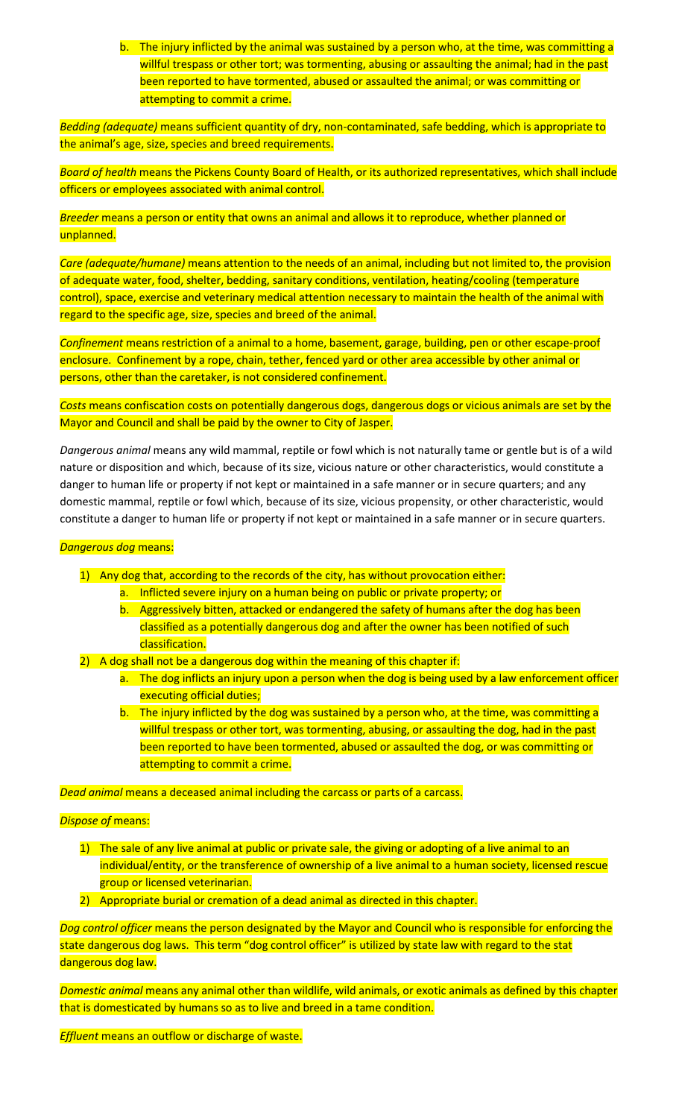b. The injury inflicted by the animal was sustained by a person who, at the time, was committing a willful trespass or other tort; was tormenting, abusing or assaulting the animal; had in the past been reported to have tormented, abused or assaulted the animal; or was committing or attempting to commit a crime.

*Bedding (adequate)* means sufficient quantity of dry, non-contaminated, safe bedding, which is appropriate to the animal's age, size, species and breed requirements.

*Board of health* means the Pickens County Board of Health, or its authorized representatives, which shall include officers or employees associated with animal control.

*Breeder* means a person or entity that owns an animal and allows it to reproduce, whether planned or unplanned.

*Care (adequate/humane)* means attention to the needs of an animal, including but not limited to, the provision of adequate water, food, shelter, bedding, sanitary conditions, ventilation, heating/cooling (temperature control), space, exercise and veterinary medical attention necessary to maintain the health of the animal with regard to the specific age, size, species and breed of the animal.

*Confinement* means restriction of a animal to a home, basement, garage, building, pen or other escape-proof enclosure. Confinement by a rope, chain, tether, fenced yard or other area accessible by other animal or persons, other than the caretaker, is not considered confinement.

*Costs* means confiscation costs on potentially dangerous dogs, dangerous dogs or vicious animals are set by the Mayor and Council and shall be paid by the owner to City of Jasper.

*Dangerous animal* means any wild mammal, reptile or fowl which is not naturally tame or gentle but is of a wild nature or disposition and which, because of its size, vicious nature or other characteristics, would constitute a danger to human life or property if not kept or maintained in a safe manner or in secure quarters; and any domestic mammal, reptile or fowl which, because of its size, vicious propensity, or other characteristic, would constitute a danger to human life or property if not kept or maintained in a safe manner or in secure quarters.

# *Dangerous dog* means:

- 1) Any dog that, according to the records of the city, has without provocation either:
	- a. Inflicted severe injury on a human being on public or private property; or
	- b. Aggressively bitten, attacked or endangered the safety of humans after the dog has been classified as a potentially dangerous dog and after the owner has been notified of such classification.
- 2) A dog shall not be a dangerous dog within the meaning of this chapter if:
	- a. The dog inflicts an injury upon a person when the dog is being used by a law enforcement officer executing official duties;
	- b. The injury inflicted by the dog was sustained by a person who, at the time, was committing a willful trespass or other tort, was tormenting, abusing, or assaulting the dog, had in the past been reported to have been tormented, abused or assaulted the dog, or was committing or attempting to commit a crime.

*Dead animal* means a deceased animal including the carcass or parts of a carcass.

# *Dispose of* means:

- 1) The sale of any live animal at public or private sale, the giving or adopting of a live animal to an individual/entity, or the transference of ownership of a live animal to a human society, licensed rescue group or licensed veterinarian.
- 2) Appropriate burial or cremation of a dead animal as directed in this chapter.

*Dog control officer* means the person designated by the Mayor and Council who is responsible for enforcing the state dangerous dog laws. This term "dog control officer" is utilized by state law with regard to the stat dangerous dog law.

*Domestic animal* means any animal other than wildlife, wild animals, or exotic animals as defined by this chapter that is domesticated by humans so as to live and breed in a tame condition.

*Effluent* means an outflow or discharge of waste.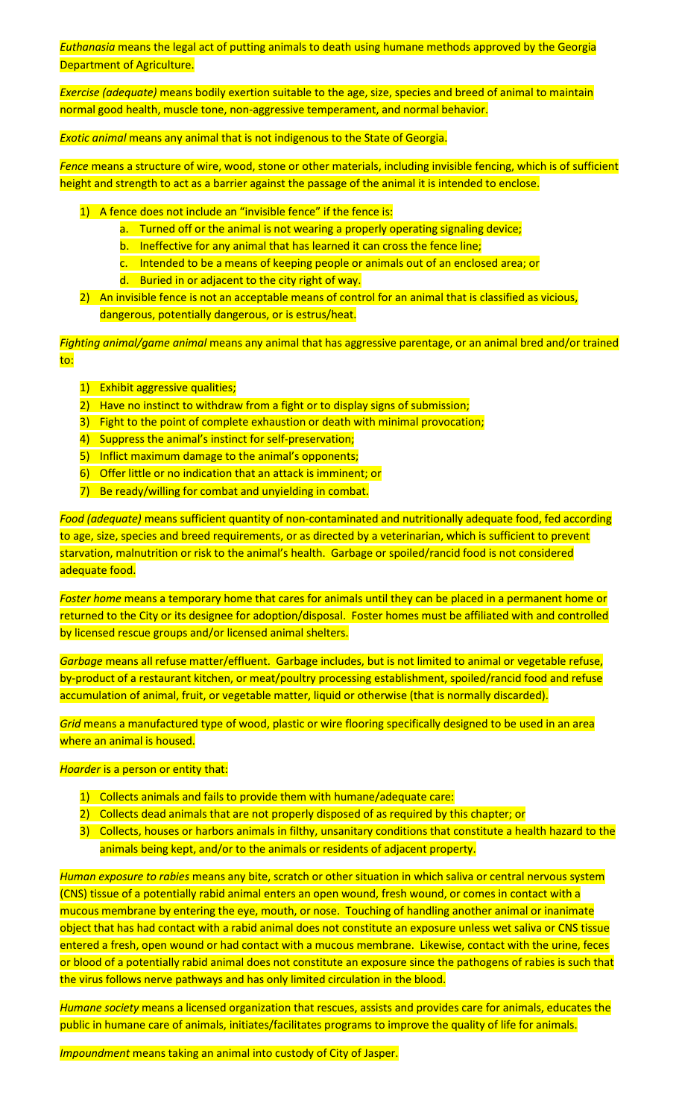*Euthanasia* means the legal act of putting animals to death using humane methods approved by the Georgia Department of Agriculture.

*Exercise (adequate)* means bodily exertion suitable to the age, size, species and breed of animal to maintain normal good health, muscle tone, non-aggressive temperament, and normal behavior.

*Exotic animal* means any animal that is not indigenous to the State of Georgia.

*Fence* means a structure of wire, wood, stone or other materials, including invisible fencing, which is of sufficient height and strength to act as a barrier against the passage of the animal it is intended to enclose.

1) A fence does not include an "invisible fence" if the fence is:

- a. Turned off or the animal is not wearing a properly operating signaling device;
- b. Ineffective for any animal that has learned it can cross the fence line;
- c. Intended to be a means of keeping people or animals out of an enclosed area; or
- d. Buried in or adjacent to the city right of way.
- 2) An invisible fence is not an acceptable means of control for an animal that is classified as vicious, dangerous, potentially dangerous, or is estrus/heat.

*Fighting animal/game animal* means any animal that has aggressive parentage, or an animal bred and/or trained to:

- 1) Exhibit aggressive qualities;
- 2) Have no instinct to withdraw from a fight or to display signs of submission;
- 3) Fight to the point of complete exhaustion or death with minimal provocation;
- 4) Suppress the animal's instinct for self-preservation;
- 5) Inflict maximum damage to the animal's opponents;
- 6) Offer little or no indication that an attack is imminent; or
- 7) Be ready/willing for combat and unyielding in combat.

*Food (adequate)* means sufficient quantity of non-contaminated and nutritionally adequate food, fed according to age, size, species and breed requirements, or as directed by a veterinarian, which is sufficient to prevent starvation, malnutrition or risk to the animal's health. Garbage or spoiled/rancid food is not considered adequate food.

*Foster home* means a temporary home that cares for animals until they can be placed in a permanent home or returned to the City or its designee for adoption/disposal. Foster homes must be affiliated with and controlled by licensed rescue groups and/or licensed animal shelters.

*Garbage* means all refuse matter/effluent. Garbage includes, but is not limited to animal or vegetable refuse, by-product of a restaurant kitchen, or meat/poultry processing establishment, spoiled/rancid food and refuse accumulation of animal, fruit, or vegetable matter, liquid or otherwise (that is normally discarded).

*Grid* means a manufactured type of wood, plastic or wire flooring specifically designed to be used in an area where an animal is housed.

## *Hoarder* is a person or entity that:

- 1) Collects animals and fails to provide them with humane/adequate care:
- 2) Collects dead animals that are not properly disposed of as required by this chapter; or
- 3) Collects, houses or harbors animals in filthy, unsanitary conditions that constitute a health hazard to the animals being kept, and/or to the animals or residents of adjacent property.

*Human exposure to rabies* means any bite, scratch or other situation in which saliva or central nervous system (CNS) tissue of a potentially rabid animal enters an open wound, fresh wound, or comes in contact with a mucous membrane by entering the eye, mouth, or nose. Touching of handling another animal or inanimate object that has had contact with a rabid animal does not constitute an exposure unless wet saliva or CNS tissue entered a fresh, open wound or had contact with a mucous membrane. Likewise, contact with the urine, feces or blood of a potentially rabid animal does not constitute an exposure since the pathogens of rabies is such that the virus follows nerve pathways and has only limited circulation in the blood.

*Humane society* means a licensed organization that rescues, assists and provides care for animals, educates the public in humane care of animals, initiates/facilitates programs to improve the quality of life for animals.

*Impoundment* means taking an animal into custody of City of Jasper.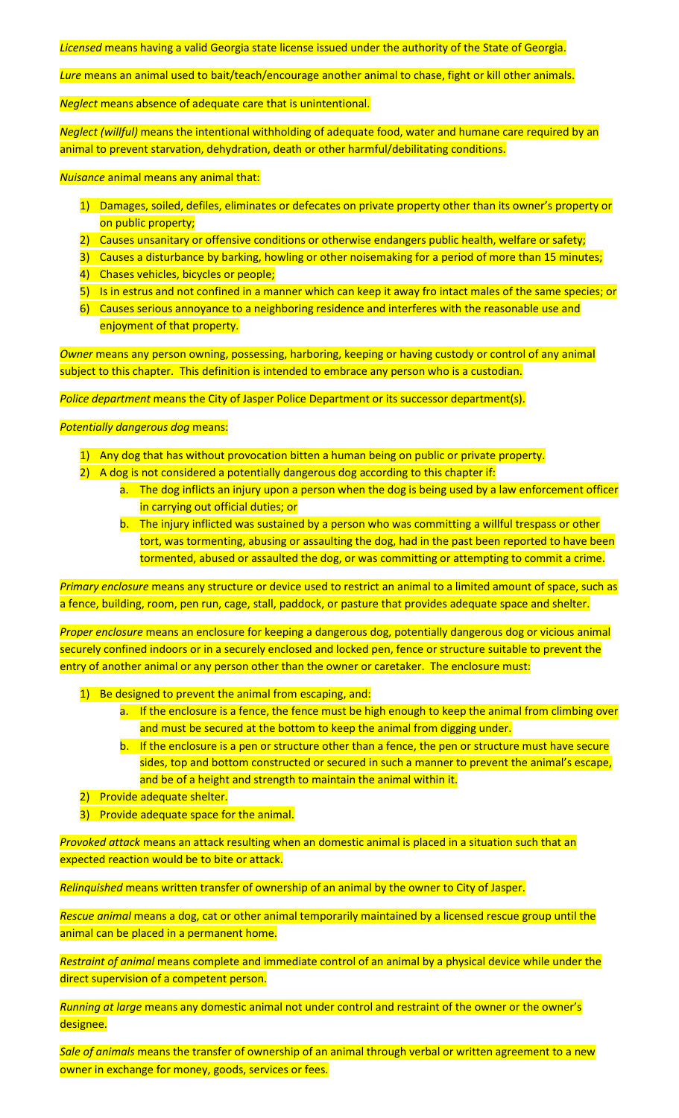*Licensed* means having a valid Georgia state license issued under the authority of the State of Georgia.

*Lure* means an animal used to bait/teach/encourage another animal to chase, fight or kill other animals.

*Neglect* means absence of adequate care that is unintentional.

*Neglect (willful)* means the intentional withholding of adequate food, water and humane care required by an animal to prevent starvation, dehydration, death or other harmful/debilitating conditions.

*Nuisance* animal means any animal that:

- 1) Damages, soiled, defiles, eliminates or defecates on private property other than its owner's property or on public property;
- 2) Causes unsanitary or offensive conditions or otherwise endangers public health, welfare or safety;
- 3) Causes a disturbance by barking, howling or other noisemaking for a period of more than 15 minutes;
- 4) Chases vehicles, bicycles or people;
- 5) Is in estrus and not confined in a manner which can keep it away fro intact males of the same species; or
- 6) Causes serious annoyance to a neighboring residence and interferes with the reasonable use and enjoyment of that property.

*Owner* means any person owning, possessing, harboring, keeping or having custody or control of any animal subject to this chapter. This definition is intended to embrace any person who is a custodian.

*Police department* means the City of Jasper Police Department or its successor department(s).

## *Potentially dangerous dog* means:

- 1) Any dog that has without provocation bitten a human being on public or private property.
- 2) A dog is not considered a potentially dangerous dog according to this chapter if:
	- a. The dog inflicts an injury upon a person when the dog is being used by a law enforcement officer in carrying out official duties; or
	- b. The injury inflicted was sustained by a person who was committing a willful trespass or other tort, was tormenting, abusing or assaulting the dog, had in the past been reported to have been tormented, abused or assaulted the dog, or was committing or attempting to commit a crime.

*Primary enclosure* means any structure or device used to restrict an animal to a limited amount of space, such as a fence, building, room, pen run, cage, stall, paddock, or pasture that provides adequate space and shelter.

*Proper enclosure* means an enclosure for keeping a dangerous dog, potentially dangerous dog or vicious animal securely confined indoors or in a securely enclosed and locked pen, fence or structure suitable to prevent the entry of another animal or any person other than the owner or caretaker. The enclosure must:

- 1) Be designed to prevent the animal from escaping, and:
	- a. If the enclosure is a fence, the fence must be high enough to keep the animal from climbing over and must be secured at the bottom to keep the animal from digging under.
	- b. If the enclosure is a pen or structure other than a fence, the pen or structure must have secure sides, top and bottom constructed or secured in such a manner to prevent the animal's escape, and be of a height and strength to maintain the animal within it.
- 2) Provide adequate shelter.
- 3) Provide adequate space for the animal.

*Provoked attack* means an attack resulting when an domestic animal is placed in a situation such that an expected reaction would be to bite or attack.

*Relinquished* means written transfer of ownership of an animal by the owner to City of Jasper.

*Rescue animal* means a dog, cat or other animal temporarily maintained by a licensed rescue group until the animal can be placed in a permanent home.

*Restraint of animal* means complete and immediate control of an animal by a physical device while under the direct supervision of a competent person.

*Running at large* means any domestic animal not under control and restraint of the owner or the owner's designee.

*Sale of animals* means the transfer of ownership of an animal through verbal or written agreement to a new owner in exchange for money, goods, services or fees.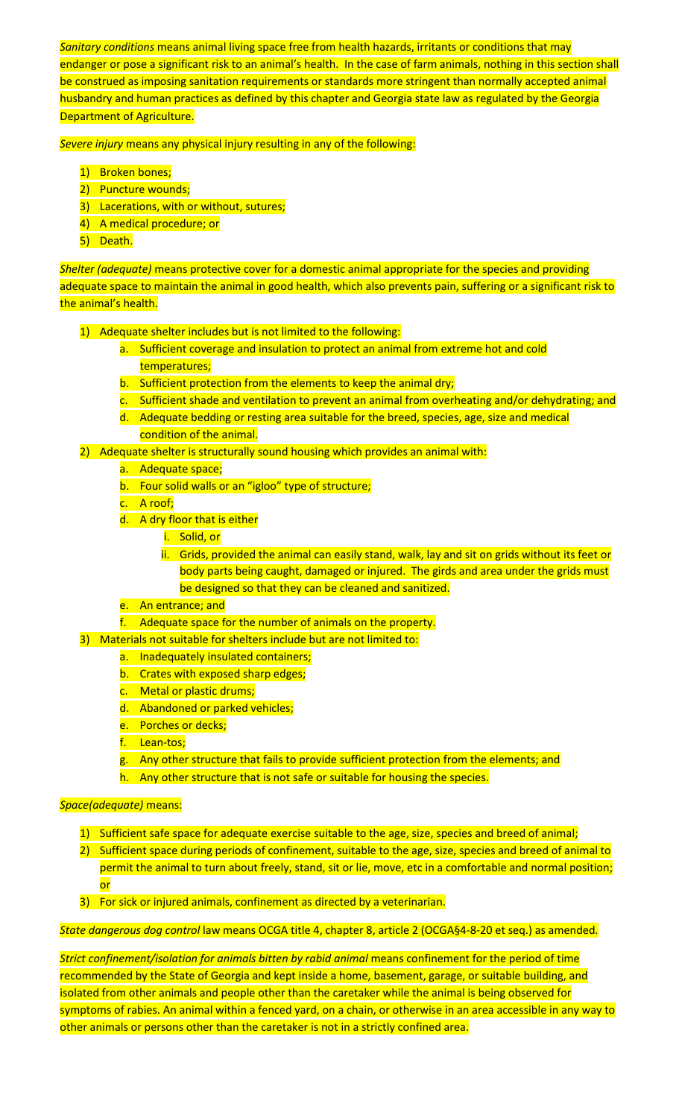*Sanitary conditions* means animal living space free from health hazards, irritants or conditions that may endanger or pose a significant risk to an animal's health. In the case of farm animals, nothing in this section shall be construed as imposing sanitation requirements or standards more stringent than normally accepted animal husbandry and human practices as defined by this chapter and Georgia state law as regulated by the Georgia Department of Agriculture.

*Severe injury* means any physical injury resulting in any of the following:

- 1) Broken bones;
- 2) Puncture wounds;
- 3) Lacerations, with or without, sutures;
- 4) A medical procedure; or
- 5) Death.

*Shelter (adequate)* means protective cover for a domestic animal appropriate for the species and providing adequate space to maintain the animal in good health, which also prevents pain, suffering or a significant risk to the animal's health.

- 1) Adequate shelter includes but is not limited to the following:
	- a. Sufficient coverage and insulation to protect an animal from extreme hot and cold temperatures;
	- b. Sufficient protection from the elements to keep the animal dry;
	- c. Sufficient shade and ventilation to prevent an animal from overheating and/or dehydrating; and
	- d. Adequate bedding or resting area suitable for the breed, species, age, size and medical condition of the animal.
- 2) Adequate shelter is structurally sound housing which provides an animal with:
	- a. Adequate space;
	- b. Four solid walls or an "igloo" type of structure;
	- c. A roof;
	- d. A dry floor that is either
		- i. Solid, or
		- ii. Grids, provided the animal can easily stand, walk, lay and sit on grids without its feet or body parts being caught, damaged or injured. The girds and area under the grids must be designed so that they can be cleaned and sanitized.
	- e. An entrance; and
	- f. Adequate space for the number of animals on the property.

3) Materials not suitable for shelters include but are not limited to:

- a. Inadequately insulated containers;
- b. Crates with exposed sharp edges;
- c. Metal or plastic drums;
- d. Abandoned or parked vehicles;
- e. Porches or decks;
- f. Lean-tos;
- g. Any other structure that fails to provide sufficient protection from the elements; and
- h. Any other structure that is not safe or suitable for housing the species.

# *Space(adequate)* means:

- 1) Sufficient safe space for adequate exercise suitable to the age, size, species and breed of animal;
- 2) Sufficient space during periods of confinement, suitable to the age, size, species and breed of animal to permit the animal to turn about freely, stand, sit or lie, move, etc in a comfortable and normal position; or
- 3) For sick or injured animals, confinement as directed by a veterinarian.

*State dangerous dog control* law means OCGA title 4, chapter 8, article 2 (OCGA§4-8-20 et seq.) as amended.

*Strict confinement/isolation for animals bitten by rabid animal* means confinement for the period of time recommended by the State of Georgia and kept inside a home, basement, garage, or suitable building, and isolated from other animals and people other than the caretaker while the animal is being observed for symptoms of rabies. An animal within a fenced yard, on a chain, or otherwise in an area accessible in any way to other animals or persons other than the caretaker is not in a strictly confined area.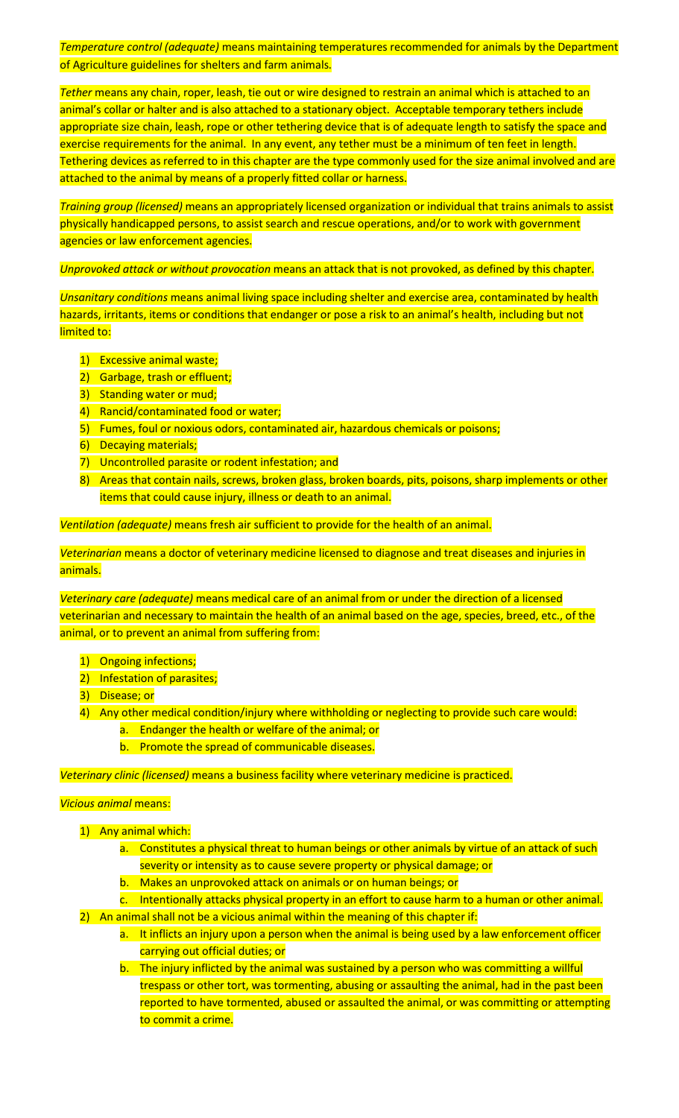*Temperature control (adequate)* means maintaining temperatures recommended for animals by the Department of Agriculture guidelines for shelters and farm animals.

*Tether* means any chain, roper, leash, tie out or wire designed to restrain an animal which is attached to an animal's collar or halter and is also attached to a stationary object. Acceptable temporary tethers include appropriate size chain, leash, rope or other tethering device that is of adequate length to satisfy the space and exercise requirements for the animal. In any event, any tether must be a minimum of ten feet in length. Tethering devices as referred to in this chapter are the type commonly used for the size animal involved and are attached to the animal by means of a properly fitted collar or harness.

*Training group (licensed)* means an appropriately licensed organization or individual that trains animals to assist physically handicapped persons, to assist search and rescue operations, and/or to work with government agencies or law enforcement agencies.

*Unprovoked attack or without provocation* means an attack that is not provoked, as defined by this chapter.

*Unsanitary conditions* means animal living space including shelter and exercise area, contaminated by health hazards, irritants, items or conditions that endanger or pose a risk to an animal's health, including but not limited to:

- 1) Excessive animal waste;
- 2) Garbage, trash or effluent;
- 3) Standing water or mud;
- 4) Rancid/contaminated food or water;
- 5) Fumes, foul or noxious odors, contaminated air, hazardous chemicals or poisons;
- 6) Decaying materials;
- 7) Uncontrolled parasite or rodent infestation; and
- 8) Areas that contain nails, screws, broken glass, broken boards, pits, poisons, sharp implements or other items that could cause injury, illness or death to an animal.

*Ventilation (adequate)* means fresh air sufficient to provide for the health of an animal.

*Veterinarian* means a doctor of veterinary medicine licensed to diagnose and treat diseases and injuries in animals.

*Veterinary care (adequate)* means medical care of an animal from or under the direction of a licensed veterinarian and necessary to maintain the health of an animal based on the age, species, breed, etc., of the animal, or to prevent an animal from suffering from:

- 1) Ongoing infections;
- 2) Infestation of parasites;
- 3) Disease; or
- 4) Any other medical condition/injury where withholding or neglecting to provide such care would: a. Endanger the health or welfare of the animal; or
	- b. Promote the spread of communicable diseases.

*Veterinary clinic (licensed)* means a business facility where veterinary medicine is practiced.

# *Vicious animal* means:

- 1) Any animal which:
	- a. Constitutes a physical threat to human beings or other animals by virtue of an attack of such severity or intensity as to cause severe property or physical damage; or
	- b. Makes an unprovoked attack on animals or on human beings; or
- c. Intentionally attacks physical property in an effort to cause harm to a human or other animal. 2) An animal shall not be a vicious animal within the meaning of this chapter if:
	- a. It inflicts an injury upon a person when the animal is being used by a law enforcement officer carrying out official duties; or
	- b. The injury inflicted by the animal was sustained by a person who was committing a willful trespass or other tort, was tormenting, abusing or assaulting the animal, had in the past been reported to have tormented, abused or assaulted the animal, or was committing or attempting to commit a crime.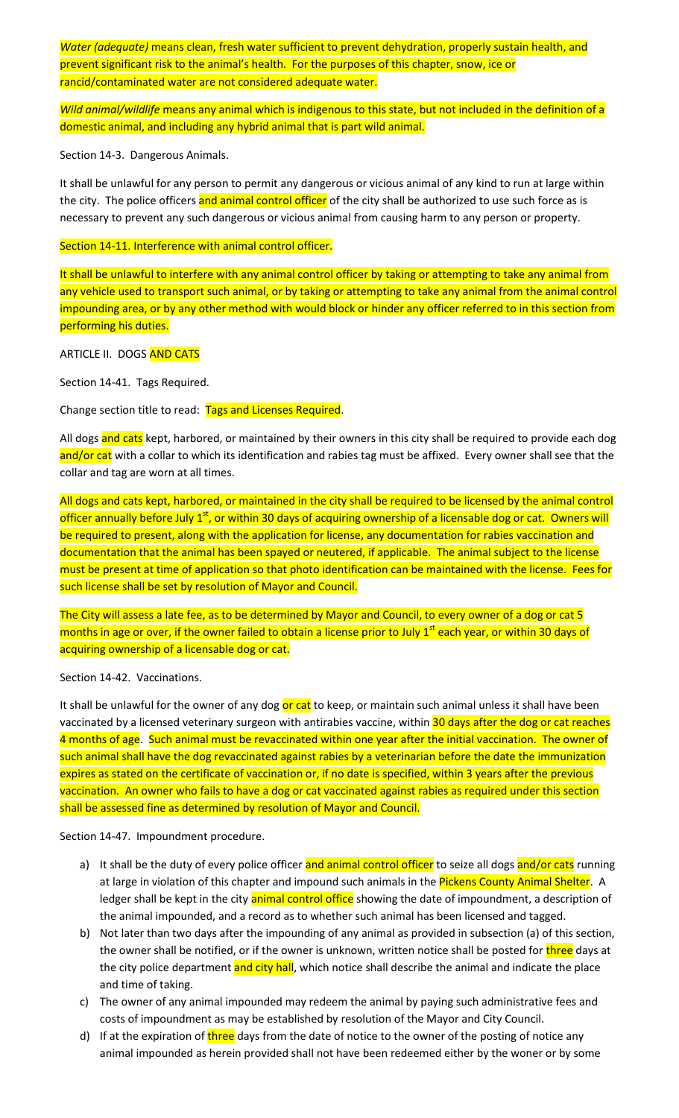*Water (adequate)* means clean, fresh water sufficient to prevent dehydration, properly sustain health, and prevent significant risk to the animal's health. For the purposes of this chapter, snow, ice or rancid/contaminated water are not considered adequate water.

*Wild animal/wildlife* means any animal which is indigenous to this state, but not included in the definition of a domestic animal, and including any hybrid animal that is part wild animal.

Section 14-3. Dangerous Animals.

It shall be unlawful for any person to permit any dangerous or vicious animal of any kind to run at large within the city. The police officers and animal control officer of the city shall be authorized to use such force as is necessary to prevent any such dangerous or vicious animal from causing harm to any person or property.

Section 14-11. Interference with animal control officer.

It shall be unlawful to interfere with any animal control officer by taking or attempting to take any animal from any vehicle used to transport such animal, or by taking or attempting to take any animal from the animal control impounding area, or by any other method with would block or hinder any officer referred to in this section from performing his duties.

ARTICLE II. DOGS AND CATS

Section 14-41. Tags Required.

Change section title to read: Tags and Licenses Required.

All dogs and cats kept, harbored, or maintained by their owners in this city shall be required to provide each dog and/or cat with a collar to which its identification and rabies tag must be affixed. Every owner shall see that the collar and tag are worn at all times.

All dogs and cats kept, harbored, or maintained in the city shall be required to be licensed by the animal control officer annually before July  $1<sup>st</sup>$ , or within 30 days of acquiring ownership of a licensable dog or cat. Owners will be required to present, along with the application for license, any documentation for rabies vaccination and documentation that the animal has been spayed or neutered, if applicable. The animal subject to the license must be present at time of application so that photo identification can be maintained with the license. Fees for such license shall be set by resolution of Mayor and Council.

The City will assess a late fee, as to be determined by Mayor and Council, to every owner of a dog or cat 5 months in age or over, if the owner failed to obtain a license prior to July 1<sup>st</sup> each year, or within 30 days of acquiring ownership of a licensable dog or cat.

Section 14-42. Vaccinations.

It shall be unlawful for the owner of any dog or cat to keep, or maintain such animal unless it shall have been vaccinated by a licensed veterinary surgeon with antirabies vaccine, within 30 days after the dog or cat reaches 4 months of age. Such animal must be revaccinated within one year after the initial vaccination. The owner of such animal shall have the dog revaccinated against rabies by a veterinarian before the date the immunization expires as stated on the certificate of vaccination or, if no date is specified, within 3 years after the previous vaccination. An owner who fails to have a dog or cat vaccinated against rabies as required under this section shall be assessed fine as determined by resolution of Mayor and Council.

Section 14-47. Impoundment procedure.

- a) It shall be the duty of every police officer and animal control officer to seize all dogs and/or cats running at large in violation of this chapter and impound such animals in the Pickens County Animal Shelter. A ledger shall be kept in the city animal control office showing the date of impoundment, a description of the animal impounded, and a record as to whether such animal has been licensed and tagged.
- b) Not later than two days after the impounding of any animal as provided in subsection (a) of this section, the owner shall be notified, or if the owner is unknown, written notice shall be posted for *three* days at the city police department and city hall, which notice shall describe the animal and indicate the place and time of taking.
- c) The owner of any animal impounded may redeem the animal by paying such administrative fees and costs of impoundment as may be established by resolution of the Mayor and City Council.
- d) If at the expiration of three days from the date of notice to the owner of the posting of notice any animal impounded as herein provided shall not have been redeemed either by the woner or by some